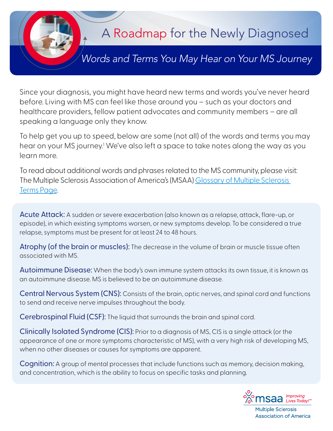

Since your diagnosis, you might have heard new terms and words you've never heard before. Living with MS can feel like those around you – such as your doctors and healthcare providers, fellow patient advocates and community members – are all speaking a language only they know.

To help get you up to speed, below are some (not all) of the words and terms you may hear on your MS journey.<sup>1</sup> We've also left a space to take notes along the way as you learn more.

To read about additional words and phrases related to the MS community, please visit: The Multiple Sclerosis Association of America's (MSAA[\) Glossary of Multiple Sclerosis](https://mymsaa.org/ms-information/glossary/)  [Terms Page.](https://mymsaa.org/ms-information/glossary/)

Acute Attack: A sudden or severe exacerbation (also known as a relapse, attack, flare-up, or episode), in which existing symptoms worsen, or new symptoms develop. To be considered a true relapse, symptoms must be present for at least 24 to 48 hours.

Atrophy (of the brain or muscles): The decrease in the volume of brain or muscle tissue often associated with MS.

Autoimmune Disease: When the body's own immune system attacks its own tissue, it is known as an autoimmune disease. MS is believed to be an autoimmune disease.

Central Nervous System (CNS): Consists of the brain, optic nerves, and spinal cord and functions to send and receive nerve impulses throughout the body.

Cerebrospinal Fluid (CSF): The liquid that surrounds the brain and spinal cord.

Clinically Isolated Syndrome (CIS): Prior to a diagnosis of MS, CIS is a single attack (or the appearance of one or more symptoms characteristic of MS), with a very high risk of developing MS, when no other diseases or causes for symptoms are apparent.

Cognition: A group of mental processes that include functions such as memory, decision making, and concentration, which is the ability to focus on specific tasks and planning.



**Association of America**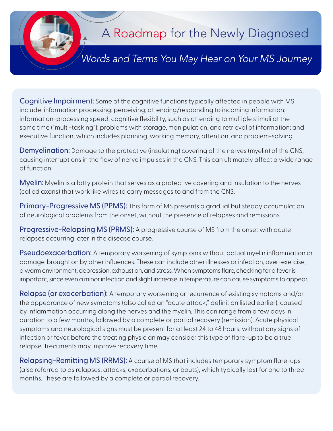

## A Roadmap for the Newly Diagnosed

## *The Road to Understanding Your Diagnosis Words and Terms You May Hear on Your MS Journey*

Cognitive Impairment: Some of the cognitive functions typically affected in people with MS include: information processing; perceiving; attending/responding to incoming information; information-processing speed; cognitive flexibility, such as attending to multiple stimuli at the same time ("multi-tasking"); problems with storage, manipulation, and retrieval of information; and executive function, which includes planning, working memory, attention, and problem-solving.

Demyelination: Damage to the protective (insulating) covering of the nerves (myelin) of the CNS, causing interruptions in the flow of nerve impulses in the CNS. This can ultimately affect a wide range of function.

Myelin: Myelin is a fatty protein that serves as a protective covering and insulation to the nerves (called axons) that work like wires to carry messages to and from the CNS.

Primary-Progressive MS (PPMS): This form of MS presents a gradual but steady accumulation of neurological problems from the onset, without the presence of relapses and remissions.

Progressive-Relapsing MS (PRMS): A progressive course of MS from the onset with acute relapses occurring later in the disease course.

Pseudoexacerbation: A temporary worsening of symptoms without actual myelin inflammation or damage, brought on by other influences. These can include other illnesses or infection, over-exercise, a warm environment, depression, exhaustion, and stress. When symptoms flare, checking for a fever is important, since even a minor infection and slight increase in temperature can cause symptoms to appear.

Relapse (or exacerbation): A temporary worsening or recurrence of existing symptoms and/or the appearance of new symptoms (also called an "acute attack;" definition listed earlier), caused by inflammation occurring along the nerves and the myelin. This can range from a few days in duration to a few months, followed by a complete or partial recovery (remission). Acute physical symptoms and neurological signs must be present for at least 24 to 48 hours, without any signs of infection or fever, before the treating physician may consider this type of flare-up to be a true relapse. Treatments may improve recovery time.

Relapsing-Remitting MS (RRMS): A course of MS that includes temporary symptom flare-ups (also referred to as relapses, attacks, exacerbations, or bouts), which typically last for one to three months. These are followed by a complete or partial recovery.